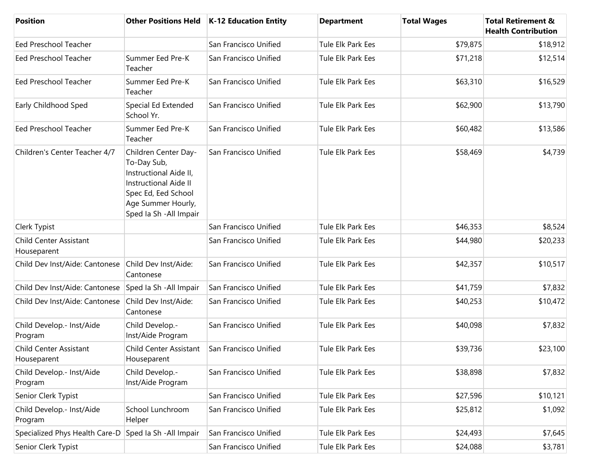| <b>Position</b>                              | <b>Other Positions Held</b>                                                                                                                                           | K-12 Education Entity | <b>Department</b> | <b>Total Wages</b> | <b>Total Retirement &amp;</b><br><b>Health Contribution</b> |
|----------------------------------------------|-----------------------------------------------------------------------------------------------------------------------------------------------------------------------|-----------------------|-------------------|--------------------|-------------------------------------------------------------|
| <b>Eed Preschool Teacher</b>                 |                                                                                                                                                                       | San Francisco Unified | Tule Elk Park Ees | \$79,875           | \$18,912                                                    |
| <b>Eed Preschool Teacher</b>                 | Summer Eed Pre-K<br>Teacher                                                                                                                                           | San Francisco Unified | Tule Elk Park Ees | \$71,218           | \$12,514                                                    |
| Eed Preschool Teacher                        | Summer Eed Pre-K<br>Teacher                                                                                                                                           | San Francisco Unified | Tule Elk Park Ees | \$63,310           | \$16,529                                                    |
| Early Childhood Sped                         | Special Ed Extended<br>School Yr.                                                                                                                                     | San Francisco Unified | Tule Elk Park Ees | \$62,900           | \$13,790                                                    |
| Eed Preschool Teacher                        | Summer Eed Pre-K<br>Teacher                                                                                                                                           | San Francisco Unified | Tule Elk Park Ees | \$60,482           | \$13,586                                                    |
| Children's Center Teacher 4/7                | Children Center Day-<br>To-Day Sub,<br>Instructional Aide II,<br><b>Instructional Aide II</b><br>Spec Ed, Eed School<br>Age Summer Hourly,<br>Sped Ia Sh - All Impair | San Francisco Unified | Tule Elk Park Ees | \$58,469           | \$4,739                                                     |
| Clerk Typist                                 |                                                                                                                                                                       | San Francisco Unified | Tule Elk Park Ees | \$46,353           | \$8,524                                                     |
| <b>Child Center Assistant</b><br>Houseparent |                                                                                                                                                                       | San Francisco Unified | Tule Elk Park Ees | \$44,980           | \$20,233                                                    |
| Child Dev Inst/Aide: Cantonese               | Child Dev Inst/Aide:<br>Cantonese                                                                                                                                     | San Francisco Unified | Tule Elk Park Ees | \$42,357           | \$10,517                                                    |
| Child Dev Inst/Aide: Cantonese               | Sped la Sh - All Impair                                                                                                                                               | San Francisco Unified | Tule Elk Park Ees | \$41,759           | \$7,832                                                     |
| Child Dev Inst/Aide: Cantonese               | Child Dev Inst/Aide:<br>Cantonese                                                                                                                                     | San Francisco Unified | Tule Elk Park Ees | \$40,253           | \$10,472                                                    |
| Child Develop.- Inst/Aide<br>Program         | Child Develop.-<br>Inst/Aide Program                                                                                                                                  | San Francisco Unified | Tule Elk Park Ees | \$40,098           | \$7,832                                                     |
| <b>Child Center Assistant</b><br>Houseparent | Child Center Assistant<br>Houseparent                                                                                                                                 | San Francisco Unified | Tule Elk Park Ees | \$39,736           | \$23,100                                                    |
| Child Develop.- Inst/Aide<br>Program         | Child Develop.-<br>Inst/Aide Program                                                                                                                                  | San Francisco Unified | Tule Elk Park Ees | \$38,898           | \$7,832                                                     |
| Senior Clerk Typist                          |                                                                                                                                                                       | San Francisco Unified | Tule Elk Park Ees | \$27,596           | \$10,121                                                    |
| Child Develop.- Inst/Aide<br>Program         | School Lunchroom<br>Helper                                                                                                                                            | San Francisco Unified | Tule Elk Park Ees | \$25,812           | \$1,092                                                     |
| Specialized Phys Health Care-D               | Sped la Sh - All Impair                                                                                                                                               | San Francisco Unified | Tule Elk Park Ees | \$24,493           | \$7,645                                                     |
| Senior Clerk Typist                          |                                                                                                                                                                       | San Francisco Unified | Tule Elk Park Ees | \$24,088           | \$3,781                                                     |